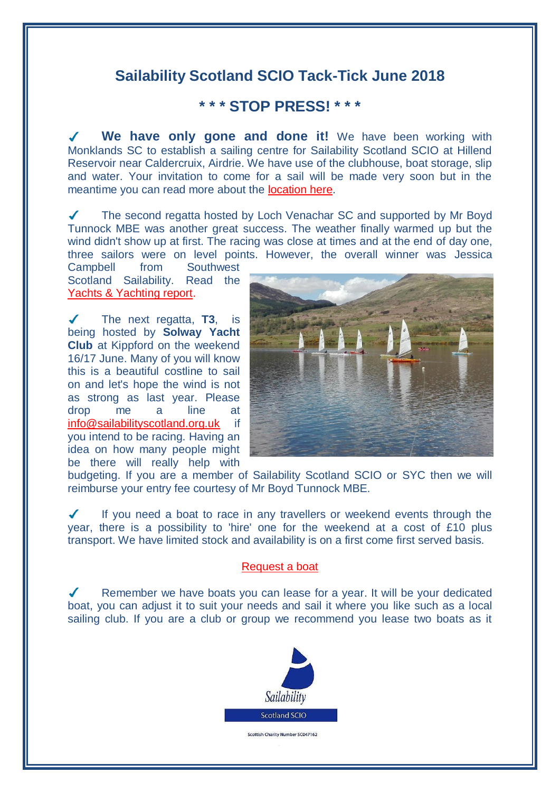## **Sailability Scotland SCIO Tack-Tick June 2018**

## **\* \* \* STOP PRESS! \* \* \***

 $\boldsymbol{J}$ **We have only gone and done it!** We have been working with Monklands SC to establish a sailing centre for Sailability Scotland SCIO at Hillend Reservoir near Caldercruix, Airdrie. We have use of the clubhouse, boat storage, slip and water. Your invitation to come for a sail will be made very soon but in the meantime you can read more about the [location here.](http://www.sailabilityscotland.org.uk/media/other/32393/GeneralInformation.pdf)

The second regatta hosted by Loch Venachar SC and supported by Mr Boyd Tunnock MBE was another great success. The weather finally warmed up but the wind didn't show up at first. The racing was close at times and at the end of day one, three sailors were on level points. However, the overall winner was Jessica

Campbell from Southwest Scotland Sailability. Read the [Yachts & Yachting report.](https://www.yachtsandyachting.com/news/205249/T2-Challenger-Travellers-at-Loch-Venachar?source=email)

The next regatta, **T3**, is being hosted by **Solway Yacht Club** at Kippford on the weekend 16/17 June. Many of you will know this is a beautiful costline to sail on and let's hope the wind is not as strong as last year. Please drop me a line at [info@sailabilityscotland.org.uk](mailto:info@sailabilityscotland.org.uk?subject=I) if you intend to be racing. Having an idea on how many people might be there will really help with



budgeting. If you are a member of Sailability Scotland SCIO or SYC then we will reimburse your entry fee courtesy of Mr Boyd Tunnock MBE.

If you need a boat to race in any travellers or weekend events through the  $\checkmark$ year, there is a possibility to 'hire' one for the weekend at a cost of £10 plus transport. We have limited stock and availability is on a first come first served basis.

### [Request a boat](mailto:info@sailabilityscotland.org.uk?subject=T2@LVSC%202018%20-%20Request%20a%20Boat)

Remember we have boats you can lease for a year. It will be your dedicated boat, you can adjust it to suit your needs and sail it where you like such as a local sailing club. If you are a club or group we recommend you lease two boats as it

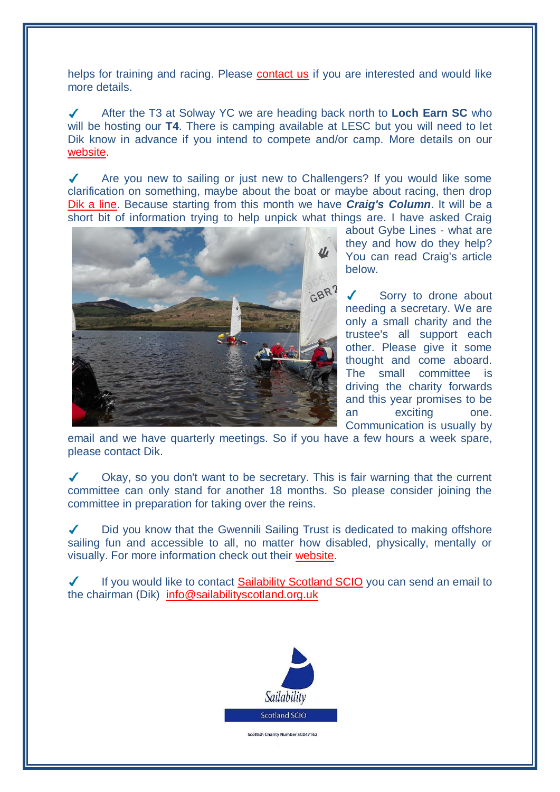helps for training and racing. Please [contact us](mailto:info@sailabilityscotland.org.uk?subject=Boat%20Lease) if you are interested and would like more details.

After the T3 at Solway YC we are heading back north to **Loch Earn SC** who will be hosting our **T4**. There is camping available at LESC but you will need to let Dik know in advance if you intend to compete and/or camp. More details on our [website.](http://www.sailabilityscotland.org.uk/traveller_series_2018.html)

 $\overline{\mathcal{L}}$ Are you new to sailing or just new to Challengers? If you would like some clarification on something, maybe about the boat or maybe about racing, then drop [Dik a line.](mailto:info@sailabilityscotland.org.uk?subject=Question%20for%20Craig) Because starting from this month we have *Craig's Column*. It will be a short bit of information trying to help unpick what things are. I have asked Craig



about Gybe Lines - what are they and how do they help? You can read Craig's article below.

Sorry to drone about needing a secretary. We are only a small charity and the trustee's all support each other. Please give it some thought and come aboard. The small committee is driving the charity forwards and this year promises to be an exciting one. Communication is usually by

email and we have quarterly meetings. So if you have a few hours a week spare, please contact Dik.

Okay, so you don't want to be secretary. This is fair warning that the current  $\sqrt{2}$ committee can only stand for another 18 months. So please consider joining the committee in preparation for taking over the reins.

 $\mathcal{L}$ Did you know that the Gwennili Sailing Trust is dedicated to making offshore sailing fun and accessible to all, no matter how disabled, physically, mentally or visually. For more information check out their [website.](https://www.gwennili.org.uk/)

 $\checkmark$ If you would like to contact [Sailability Scotland SCIO](http://www.sailabilityscotland.org.uk/contact_us.html) you can send an email to the chairman (Dik) [info@sailabilityscotland.org.uk](mailto:info@sailabilityscotland.org.uk?subject=Contact)

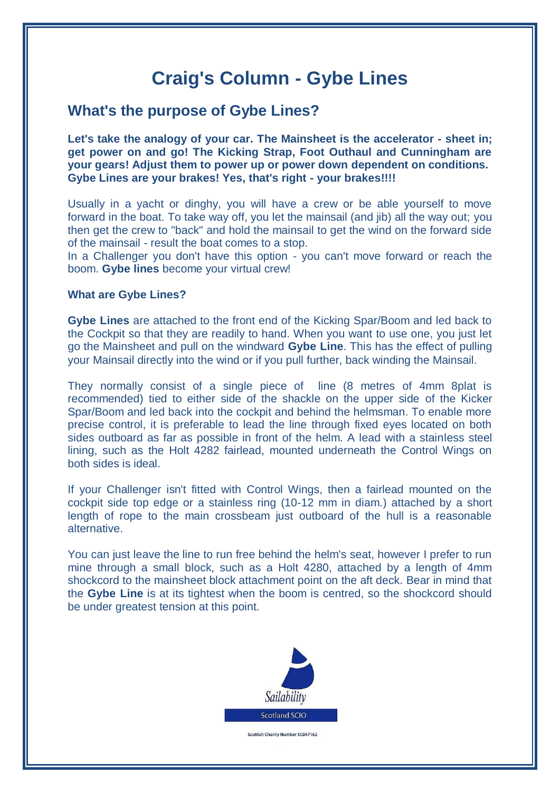# **Craig's Column - Gybe Lines**

## **What's the purpose of Gybe Lines?**

**Let's take the analogy of your car. The Mainsheet is the accelerator - sheet in; get power on and go! The Kicking Strap, Foot Outhaul and Cunningham are your gears! Adjust them to power up or power down dependent on conditions. Gybe Lines are your brakes! Yes, that's right - your brakes!!!!**

Usually in a yacht or dinghy, you will have a crew or be able yourself to move forward in the boat. To take way off, you let the mainsail (and jib) all the way out; you then get the crew to "back" and hold the mainsail to get the wind on the forward side of the mainsail - result the boat comes to a stop.

In a Challenger you don't have this option - you can't move forward or reach the boom. **Gybe lines** become your virtual crew!

### **What are Gybe Lines?**

**Gybe Lines** are attached to the front end of the Kicking Spar/Boom and led back to the Cockpit so that they are readily to hand. When you want to use one, you just let go the Mainsheet and pull on the windward **Gybe Line**. This has the effect of pulling your Mainsail directly into the wind or if you pull further, back winding the Mainsail.

They normally consist of a single piece of line (8 metres of 4mm 8plat is recommended) tied to either side of the shackle on the upper side of the Kicker Spar/Boom and led back into the cockpit and behind the helmsman. To enable more precise control, it is preferable to lead the line through fixed eyes located on both sides outboard as far as possible in front of the helm. A lead with a stainless steel lining, such as the Holt 4282 fairlead, mounted underneath the Control Wings on both sides is ideal.

If your Challenger isn't fitted with Control Wings, then a fairlead mounted on the cockpit side top edge or a stainless ring (10-12 mm in diam.) attached by a short length of rope to the main crossbeam just outboard of the hull is a reasonable alternative.

You can just leave the line to run free behind the helm's seat, however I prefer to run mine through a small block, such as a Holt 4280, attached by a length of 4mm shockcord to the mainsheet block attachment point on the aft deck. Bear in mind that the **Gybe Line** is at its tightest when the boom is centred, so the shockcord should be under greatest tension at this point.

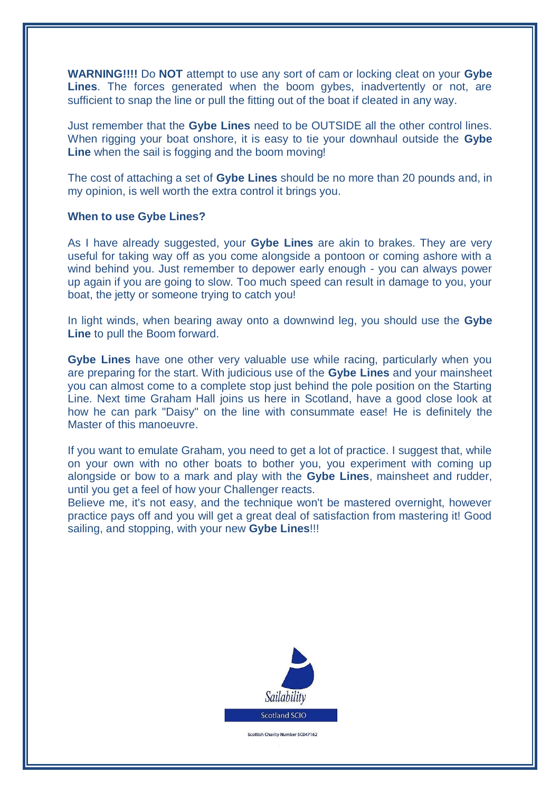**WARNING!!!!** Do **NOT** attempt to use any sort of cam or locking cleat on your **Gybe Lines**. The forces generated when the boom gybes, inadvertently or not, are sufficient to snap the line or pull the fitting out of the boat if cleated in any way.

Just remember that the **Gybe Lines** need to be OUTSIDE all the other control lines. When rigging your boat onshore, it is easy to tie your downhaul outside the **Gybe Line** when the sail is fogging and the boom moving!

The cost of attaching a set of **Gybe Lines** should be no more than 20 pounds and, in my opinion, is well worth the extra control it brings you.

#### **When to use Gybe Lines?**

As I have already suggested, your **Gybe Lines** are akin to brakes. They are very useful for taking way off as you come alongside a pontoon or coming ashore with a wind behind you. Just remember to depower early enough - you can always power up again if you are going to slow. Too much speed can result in damage to you, your boat, the jetty or someone trying to catch you!

In light winds, when bearing away onto a downwind leg, you should use the **Gybe Line** to pull the Boom forward.

**Gybe Lines** have one other very valuable use while racing, particularly when you are preparing for the start. With judicious use of the **Gybe Lines** and your mainsheet you can almost come to a complete stop just behind the pole position on the Starting Line. Next time Graham Hall joins us here in Scotland, have a good close look at how he can park "Daisy" on the line with consummate ease! He is definitely the Master of this manoeuvre.

If you want to emulate Graham, you need to get a lot of practice. I suggest that, while on your own with no other boats to bother you, you experiment with coming up alongside or bow to a mark and play with the **Gybe Lines**, mainsheet and rudder, until you get a feel of how your Challenger reacts.

Believe me, it's not easy, and the technique won't be mastered overnight, however practice pays off and you will get a great deal of satisfaction from mastering it! Good sailing, and stopping, with your new **Gybe Lines**!!!